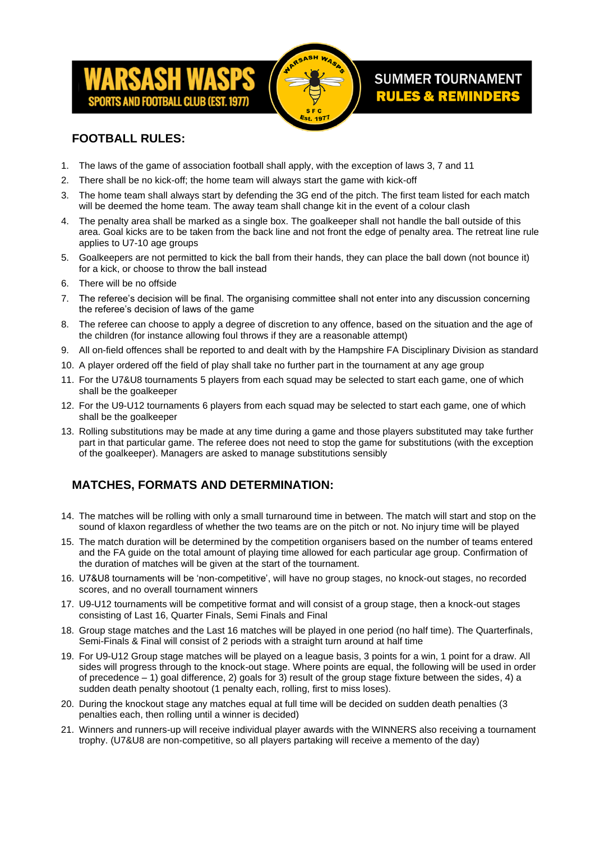



# **SUMMER TOURNAMENT RULES & REMINDERS**

## **FOOTBALL RULES:**

- 1. The laws of the game of association football shall apply, with the exception of laws 3, 7 and 11
- 2. There shall be no kick-off; the home team will always start the game with kick-off
- 3. The home team shall always start by defending the 3G end of the pitch. The first team listed for each match will be deemed the home team. The away team shall change kit in the event of a colour clash
- 4. The penalty area shall be marked as a single box. The goalkeeper shall not handle the ball outside of this area. Goal kicks are to be taken from the back line and not front the edge of penalty area. The retreat line rule applies to U7-10 age groups
- 5. Goalkeepers are not permitted to kick the ball from their hands, they can place the ball down (not bounce it) for a kick, or choose to throw the ball instead
- 6. There will be no offside
- 7. The referee's decision will be final. The organising committee shall not enter into any discussion concerning the referee's decision of laws of the game
- 8. The referee can choose to apply a degree of discretion to any offence, based on the situation and the age of the children (for instance allowing foul throws if they are a reasonable attempt)
- 9. All on-field offences shall be reported to and dealt with by the Hampshire FA Disciplinary Division as standard
- 10. A player ordered off the field of play shall take no further part in the tournament at any age group
- 11. For the U7&U8 tournaments 5 players from each squad may be selected to start each game, one of which shall be the goalkeeper
- 12. For the U9-U12 tournaments 6 players from each squad may be selected to start each game, one of which shall be the goalkeeper
- 13. Rolling substitutions may be made at any time during a game and those players substituted may take further part in that particular game. The referee does not need to stop the game for substitutions (with the exception of the goalkeeper). Managers are asked to manage substitutions sensibly

# **MATCHES, FORMATS AND DETERMINATION:**

- 14. The matches will be rolling with only a small turnaround time in between. The match will start and stop on the sound of klaxon regardless of whether the two teams are on the pitch or not. No injury time will be played
- 15. The match duration will be determined by the competition organisers based on the number of teams entered and the FA guide on the total amount of playing time allowed for each particular age group. Confirmation of the duration of matches will be given at the start of the tournament.
- 16. U7&U8 tournaments will be 'non-competitive', will have no group stages, no knock-out stages, no recorded scores, and no overall tournament winners
- 17. U9-U12 tournaments will be competitive format and will consist of a group stage, then a knock-out stages consisting of Last 16, Quarter Finals, Semi Finals and Final
- 18. Group stage matches and the Last 16 matches will be played in one period (no half time). The Quarterfinals, Semi-Finals & Final will consist of 2 periods with a straight turn around at half time
- 19. For U9-U12 Group stage matches will be played on a league basis, 3 points for a win, 1 point for a draw. All sides will progress through to the knock-out stage. Where points are equal, the following will be used in order of precedence  $-1$ ) goal difference, 2) goals for 3) result of the group stage fixture between the sides, 4) a sudden death penalty shootout (1 penalty each, rolling, first to miss loses).
- 20. During the knockout stage any matches equal at full time will be decided on sudden death penalties (3 penalties each, then rolling until a winner is decided)
- 21. Winners and runners-up will receive individual player awards with the WINNERS also receiving a tournament trophy. (U7&U8 are non-competitive, so all players partaking will receive a memento of the day)